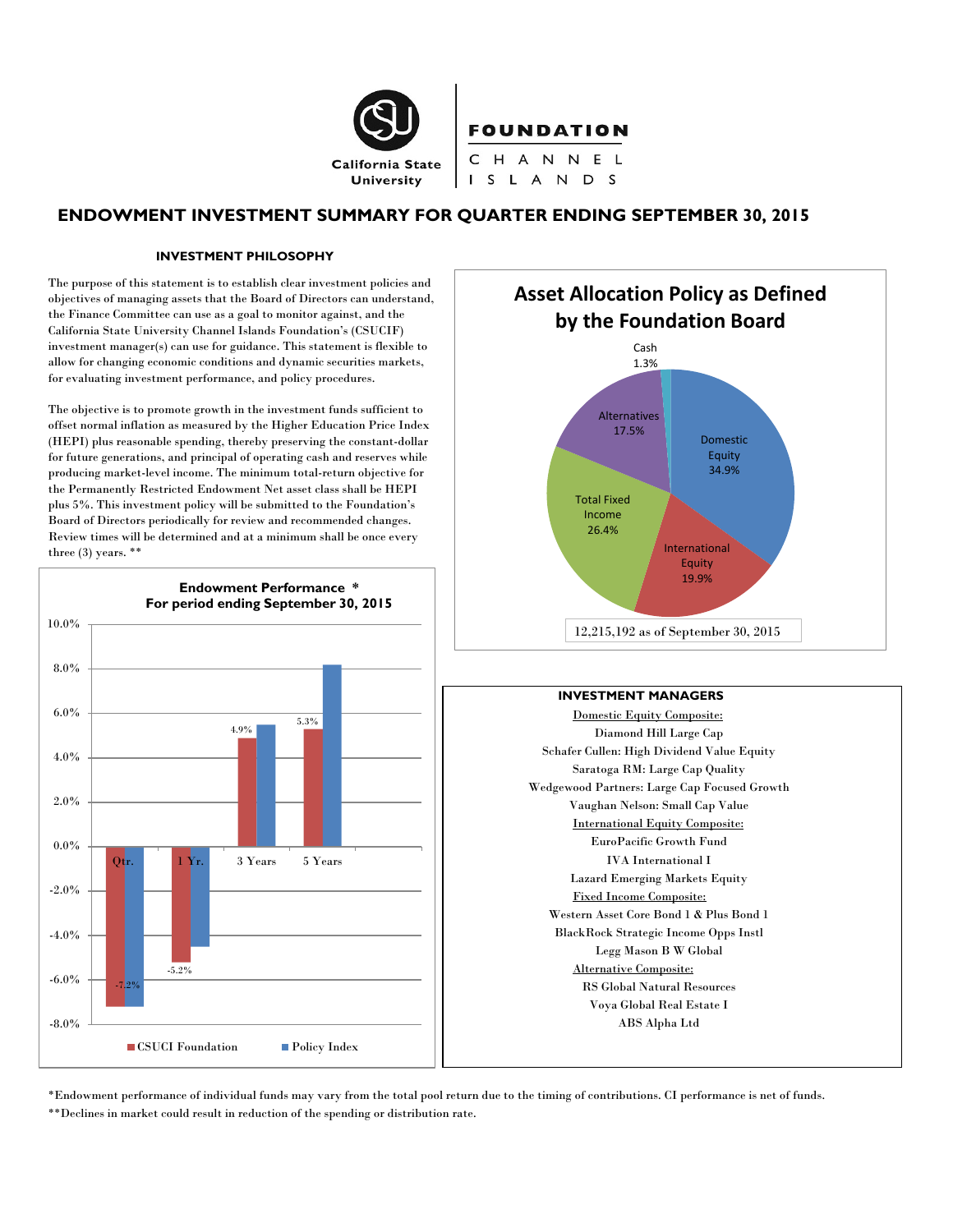

**FOUNDATION** 

CHANNEL I S L A N D S

# **ENDOWMENT INVESTMENT SUMMARY FOR QUARTER ENDING SEPTEMBER 30, 2015**

### **INVESTMENT PHILOSOPHY**

The purpose of this statement is to establish clear investment policies and objectives of managing assets that the Board of Directors can understand, the Finance Committee can use as a goal to monitor against, and the California State University Channel Islands Foundation's (CSUCIF) investment manager(s) can use for guidance. This statement is flexible to allow for changing economic conditions and dynamic securities markets, for evaluating investment performance, and policy procedures.

The objective is to promote growth in the investment funds sufficient to offset normal inflation as measured by the Higher Education Price Index (HEPI) plus reasonable spending, thereby preserving the constant-dollar for future generations, and principal of operating cash and reserves while producing market-level income. The minimum total-return objective for the Permanently Restricted Endowment Net asset class shall be HEPI plus 5%. This investment policy will be submitted to the Foundation's Board of Directors periodically for review and recommended changes. Review times will be determined and at a minimum shall be once every three (3) years. \*\*





### **INVESTMENT MANAGERS**

Domestic Equity Composite: Diamond Hill Large Cap Schafer Cullen: High Dividend Value Equity Saratoga RM: Large Cap Quality Wedgewood Partners: Large Cap Focused Growth Vaughan Nelson: Small Cap Value International Equity Composite: EuroPacific Growth Fund IVA International I Lazard Emerging Markets Equity Fixed Income Composite: Western Asset Core Bond 1 & Plus Bond 1 BlackRock Strategic Income Opps Instl Legg Mason B W Global Alternative Composite: RS Global Natural Resources Voya Global Real Estate I ABS Alpha Ltd

\*Endowment performance of individual funds may vary from the total pool return due to the timing of contributions. CI performance is net of funds. \*\*Declines in market could result in reduction of the spending or distribution rate.